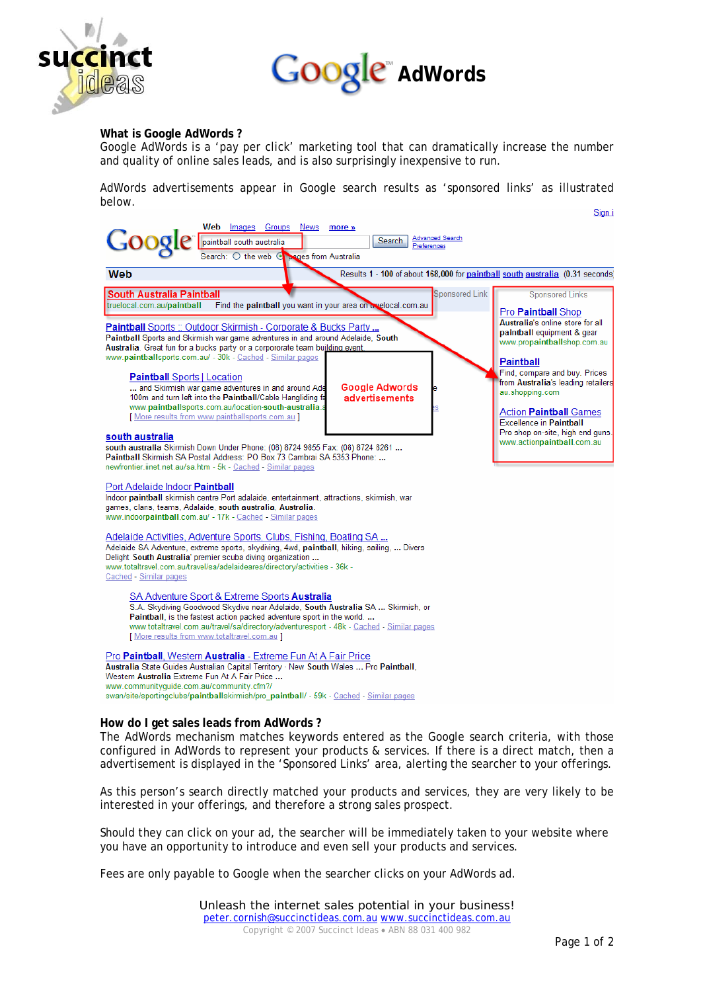



# **What is Google AdWords ?**

Google AdWords is a 'pay per click' marketing tool that can dramatically increase the number and quality of online sales leads, and is also surprisingly inexpensive to run.

AdWords advertisements appear in Google search results as 'sponsored links' as illustrated below.



#### **How do I get sales leads from AdWords ?**

The AdWords mechanism matches keywords entered as the Google search criteria, with those configured in AdWords to represent your products & services. If there is a direct match, then a advertisement is displayed in the 'Sponsored Links' area, alerting the searcher to your offerings.

As this person's search directly matched your products and services, they are very likely to be interested in your offerings, and therefore a strong sales prospect.

Should they can click on your ad, the searcher will be immediately taken to your website where you have an opportunity to introduce and even sell your products and services.

Fees are only payable to Google when the searcher clicks on your AdWords ad.